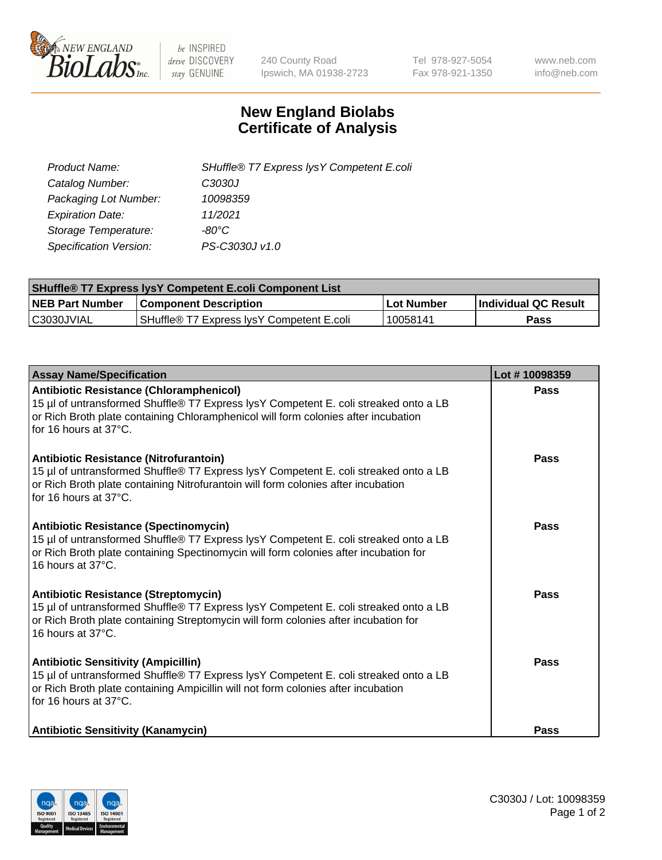

 $be$  INSPIRED drive DISCOVERY stay GENUINE

240 County Road Ipswich, MA 01938-2723 Tel 978-927-5054 Fax 978-921-1350 www.neb.com info@neb.com

## **New England Biolabs Certificate of Analysis**

| SHuffle® T7 Express lysY Competent E.coli |
|-------------------------------------------|
| C3030J                                    |
| 10098359                                  |
| 11/2021                                   |
| -80°C                                     |
| PS-C3030J v1.0                            |
|                                           |

| <b>SHuffle® T7 Express lysY Competent E.coli Component List</b> |                                           |                   |                             |  |
|-----------------------------------------------------------------|-------------------------------------------|-------------------|-----------------------------|--|
| <b>NEB Part Number</b>                                          | <b>Component Description</b>              | <b>Lot Number</b> | <b>Individual QC Result</b> |  |
| C3030JVIAL                                                      | SHuffle® T7 Express IysY Competent E.coli | 10058141          | Pass                        |  |

| <b>Assay Name/Specification</b>                                                                                                                                                                                                                       | Lot #10098359 |
|-------------------------------------------------------------------------------------------------------------------------------------------------------------------------------------------------------------------------------------------------------|---------------|
| <b>Antibiotic Resistance (Chloramphenicol)</b><br>15 µl of untransformed Shuffle® T7 Express lysY Competent E. coli streaked onto a LB<br>or Rich Broth plate containing Chloramphenicol will form colonies after incubation<br>for 16 hours at 37°C. | <b>Pass</b>   |
| Antibiotic Resistance (Nitrofurantoin)<br>15 µl of untransformed Shuffle® T7 Express lysY Competent E. coli streaked onto a LB<br>or Rich Broth plate containing Nitrofurantoin will form colonies after incubation<br>for 16 hours at 37°C.          | Pass          |
| <b>Antibiotic Resistance (Spectinomycin)</b><br>15 µl of untransformed Shuffle® T7 Express lysY Competent E. coli streaked onto a LB<br>or Rich Broth plate containing Spectinomycin will form colonies after incubation for<br>16 hours at 37°C.     | Pass          |
| <b>Antibiotic Resistance (Streptomycin)</b><br>15 µl of untransformed Shuffle® T7 Express lysY Competent E. coli streaked onto a LB<br>or Rich Broth plate containing Streptomycin will form colonies after incubation for<br>16 hours at 37°C.       | Pass          |
| <b>Antibiotic Sensitivity (Ampicillin)</b><br>15 µl of untransformed Shuffle® T7 Express lysY Competent E. coli streaked onto a LB<br>or Rich Broth plate containing Ampicillin will not form colonies after incubation<br>for 16 hours at 37°C.      | Pass          |
| <b>Antibiotic Sensitivity (Kanamycin)</b>                                                                                                                                                                                                             | Pass          |